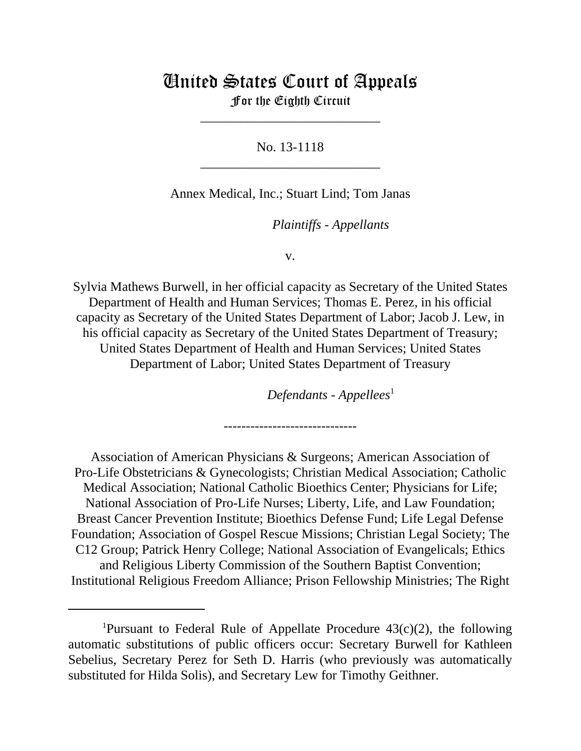# United States Court of Appeals For the Eighth Circuit

\_\_\_\_\_\_\_\_\_\_\_\_\_\_\_\_\_\_\_\_\_\_\_\_\_\_\_

No. 13-1118 \_\_\_\_\_\_\_\_\_\_\_\_\_\_\_\_\_\_\_\_\_\_\_\_\_\_\_

# Annex Medical, Inc.; Stuart Lind; Tom Janas

*Plaintiffs - Appellants* 

v.

Sylvia Mathews Burwell, in her official capacity as Secretary of the United States Department of Health and Human Services; Thomas E. Perez, in his official capacity as Secretary of the United States Department of Labor; Jacob J. Lew, in his official capacity as Secretary of the United States Department of Treasury; United States Department of Health and Human Services; United States Department of Labor; United States Department of Treasury

Defendants - Appellees<sup>1</sup>

------------------------------

Association of American Physicians & Surgeons; American Association of Pro-Life Obstetricians & Gynecologists; Christian Medical Association; Catholic Medical Association; National Catholic Bioethics Center; Physicians for Life; National Association of Pro-Life Nurses; Liberty, Life, and Law Foundation; Breast Cancer Prevention Institute; Bioethics Defense Fund; Life Legal Defense Foundation; Association of Gospel Rescue Missions; Christian Legal Society; The C12 Group; Patrick Henry College; National Association of Evangelicals; Ethics and Religious Liberty Commission of the Southern Baptist Convention; Institutional Religious Freedom Alliance; Prison Fellowship Ministries; The Right

<sup>&</sup>lt;sup>1</sup>Pursuant to Federal Rule of Appellate Procedure  $43(c)(2)$ , the following automatic substitutions of public officers occur: Secretary Burwell for Kathleen Sebelius, Secretary Perez for Seth D. Harris (who previously was automatically substituted for Hilda Solis), and Secretary Lew for Timothy Geithner.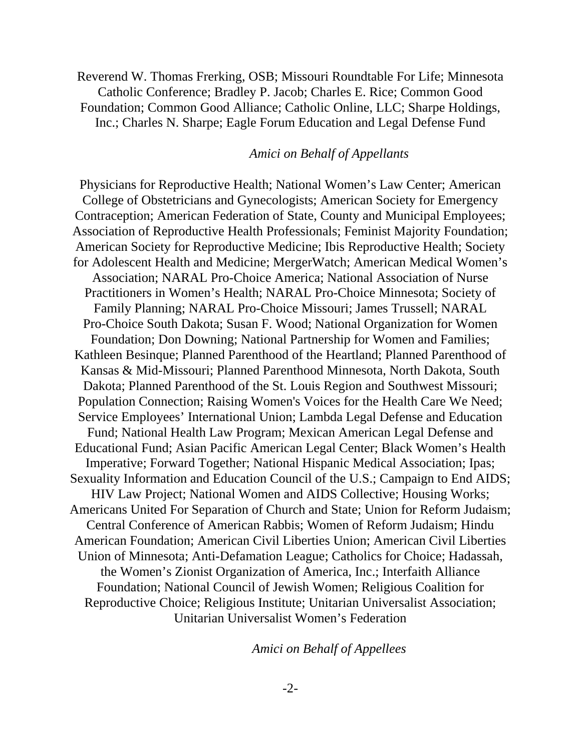Reverend W. Thomas Frerking, OSB; Missouri Roundtable For Life; Minnesota Catholic Conference; Bradley P. Jacob; Charles E. Rice; Common Good Foundation; Common Good Alliance; Catholic Online, LLC; Sharpe Holdings, Inc.; Charles N. Sharpe; Eagle Forum Education and Legal Defense Fund

#### Amici on Behalf of Appellants

Physicians for Reproductive Health; National Women's Law Center; American College of Obstetricians and Gynecologists; American Society for Emergency Contraception; American Federation of State, County and Municipal Employees; Association of Reproductive Health Professionals; Feminist Majority Foundation; American Society for Reproductive Medicine; Ibis Reproductive Health; Society for Adolescent Health and Medicine; MergerWatch; American Medical Women's Association; NARAL Pro-Choice America; National Association of Nurse Practitioners in Women's Health; NARAL Pro-Choice Minnesota; Society of Family Planning; NARAL Pro-Choice Missouri; James Trussell; NARAL Pro-Choice South Dakota; Susan F. Wood; National Organization for Women Foundation; Don Downing; National Partnership for Women and Families; Kathleen Besinque; Planned Parenthood of the Heartland; Planned Parenthood of Kansas & Mid-Missouri; Planned Parenthood Minnesota, North Dakota, South Dakota; Planned Parenthood of the St. Louis Region and Southwest Missouri; Population Connection; Raising Women's Voices for the Health Care We Need; Service Employees' International Union; Lambda Legal Defense and Education Fund; National Health Law Program; Mexican American Legal Defense and Educational Fund; Asian Pacific American Legal Center; Black Women's Health Imperative; Forward Together; National Hispanic Medical Association; Ipas; Sexuality Information and Education Council of the U.S.; Campaign to End AIDS; HIV Law Project; National Women and AIDS Collective; Housing Works; Americans United For Separation of Church and State; Union for Reform Judaism; Central Conference of American Rabbis; Women of Reform Judaism; Hindu American Foundation; American Civil Liberties Union; American Civil Liberties Union of Minnesota; Anti-Defamation League; Catholics for Choice; Hadassah, the Women's Zionist Organization of America, Inc.; Interfaith Alliance Foundation; National Council of Jewish Women; Religious Coalition for Reproductive Choice; Religious Institute; Unitarian Universalist Association; Unitarian Universalist Women's Federation

*Amici on Behalf of Appellees*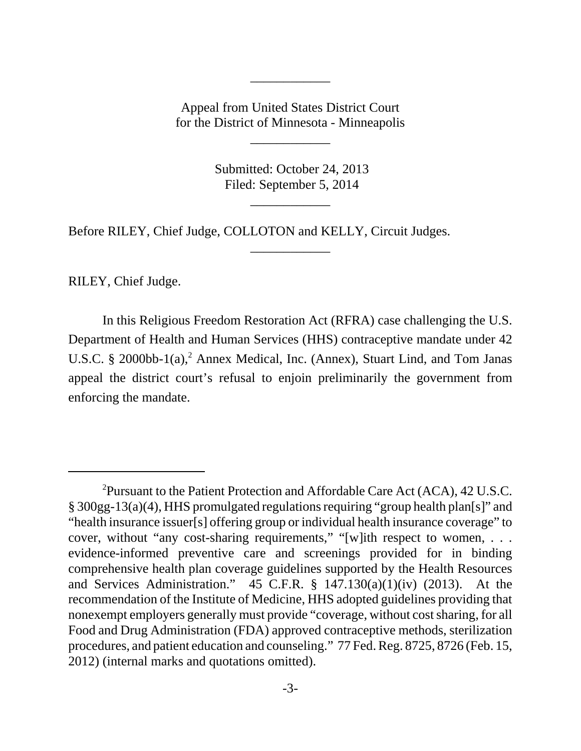Appeal from United States District Court for the District of Minnesota - Minneapolis

\_\_\_\_\_\_\_\_\_\_\_\_

\_\_\_\_\_\_\_\_\_\_\_\_

 Submitted: October 24, 2013 Filed: September 5, 2014

\_\_\_\_\_\_\_\_\_\_\_\_

\_\_\_\_\_\_\_\_\_\_\_\_

Before RILEY, Chief Judge, COLLOTON and KELLY, Circuit Judges.

RILEY, Chief Judge.

In this Religious Freedom Restoration Act (RFRA) case challenging the U.S. Department of Health and Human Services (HHS) contraceptive mandate under 42 U.S.C. § 2000bb-1(a),<sup>2</sup> Annex Medical, Inc. (Annex), Stuart Lind, and Tom Janas appeal the district court's refusal to enjoin preliminarily the government from enforcing the mandate.

<sup>&</sup>lt;sup>2</sup>Pursuant to the Patient Protection and Affordable Care Act (ACA), 42 U.S.C. § 300gg-13(a)(4), HHS promulgated regulations requiring "group health plan[s]" and "health insurance issuer[s] offering group or individual health insurance coverage" to cover, without "any cost-sharing requirements," "[w]ith respect to women, . . . evidence-informed preventive care and screenings provided for in binding comprehensive health plan coverage guidelines supported by the Health Resources and Services Administration." 45 C.F.R. § 147.130(a)(1)(iv) (2013). At the recommendation of the Institute of Medicine, HHS adopted guidelines providing that nonexempt employers generally must provide "coverage, without cost sharing, for all Food and Drug Administration (FDA) approved contraceptive methods, sterilization procedures, and patient education and counseling." 77 Fed. Reg. 8725, 8726 (Feb. 15, 2012) (internal marks and quotations omitted).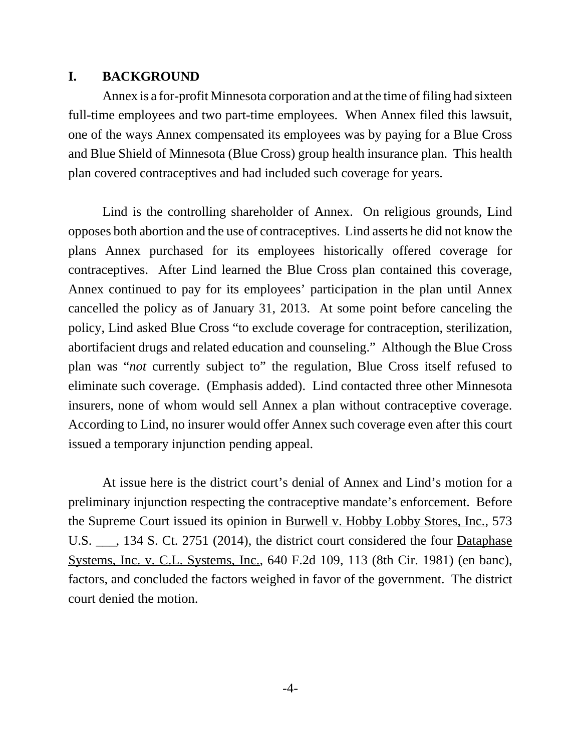# **I. BACKGROUND**

Annex is a for-profit Minnesota corporation and at the time of filing had sixteen full-time employees and two part-time employees. When Annex filed this lawsuit, one of the ways Annex compensated its employees was by paying for a Blue Cross and Blue Shield of Minnesota (Blue Cross) group health insurance plan. This health plan covered contraceptives and had included such coverage for years.

Lind is the controlling shareholder of Annex. On religious grounds, Lind opposes both abortion and the use of contraceptives. Lind asserts he did not know the plans Annex purchased for its employees historically offered coverage for contraceptives. After Lind learned the Blue Cross plan contained this coverage, Annex continued to pay for its employees' participation in the plan until Annex cancelled the policy as of January 31, 2013. At some point before canceling the policy, Lind asked Blue Cross "to exclude coverage for contraception, sterilization, abortifacient drugs and related education and counseling." Although the Blue Cross plan was "*not* currently subject to" the regulation, Blue Cross itself refused to eliminate such coverage. (Emphasis added). Lind contacted three other Minnesota insurers, none of whom would sell Annex a plan without contraceptive coverage. According to Lind, no insurer would offer Annex such coverage even after this court issued a temporary injunction pending appeal.

At issue here is the district court's denial of Annex and Lind's motion for a preliminary injunction respecting the contraceptive mandate's enforcement. Before the Supreme Court issued its opinion in Burwell v. Hobby Lobby Stores, Inc., 573 U.S. \_\_\_, 134 S. Ct. 2751 (2014), the district court considered the four **Dataphase** Systems, Inc. v. C.L. Systems, Inc., 640 F.2d 109, 113 (8th Cir. 1981) (en banc), factors, and concluded the factors weighed in favor of the government. The district court denied the motion.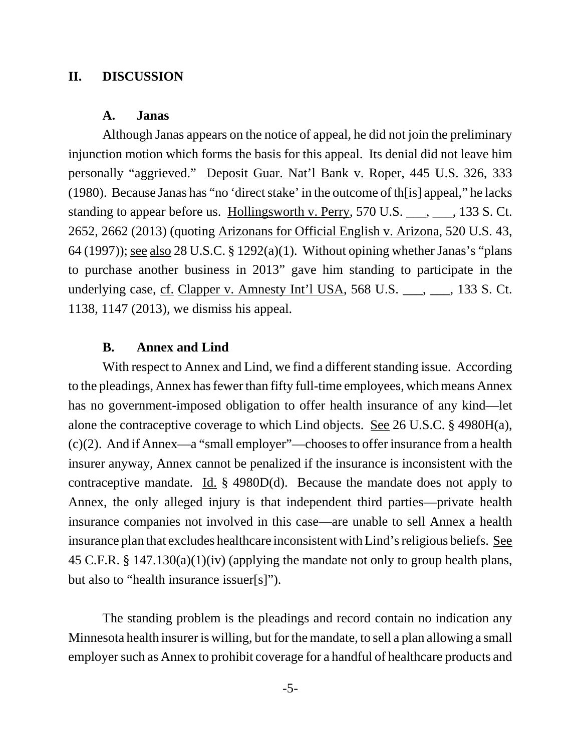## **II. DISCUSSION**

## **A. Janas**

Although Janas appears on the notice of appeal, he did not join the preliminary injunction motion which forms the basis for this appeal. Its denial did not leave him personally "aggrieved." Deposit Guar. Nat'l Bank v. Roper, 445 U.S. 326, 333 (1980). Because Janas has "no 'direct stake' in the outcome of th[is] appeal," he lacks standing to appear before us. Hollingsworth v. Perry, 570 U.S. \_\_\_, \_\_\_, 133 S. Ct. 2652, 2662 (2013) (quoting Arizonans for Official English v. Arizona, 520 U.S. 43, 64 (1997)); see also 28 U.S.C. § 1292(a)(1). Without opining whether Janas's "plans to purchase another business in 2013" gave him standing to participate in the underlying case, cf. Clapper v. Amnesty Int'l USA, 568 U.S. \_\_\_, \_\_\_, 133 S. Ct. 1138, 1147 (2013), we dismiss his appeal.

#### **B. Annex and Lind**

With respect to Annex and Lind, we find a different standing issue. According to the pleadings, Annex has fewer than fifty full-time employees, which means Annex has no government-imposed obligation to offer health insurance of any kind—let alone the contraceptive coverage to which Lind objects. See 26 U.S.C. § 4980H(a), (c)(2). And if Annex—a "small employer"—chooses to offer insurance from a health insurer anyway, Annex cannot be penalized if the insurance is inconsistent with the contraceptive mandate. Id.  $\S$  4980D(d). Because the mandate does not apply to Annex, the only alleged injury is that independent third parties—private health insurance companies not involved in this case—are unable to sell Annex a health insurance plan that excludes healthcare inconsistent with Lind's religious beliefs. See 45 C.F.R. § 147.130(a)(1)(iv) (applying the mandate not only to group health plans, but also to "health insurance issuer[s]").

The standing problem is the pleadings and record contain no indication any Minnesota health insurer is willing, but for the mandate, to sell a plan allowing a small employer such as Annex to prohibit coverage for a handful of healthcare products and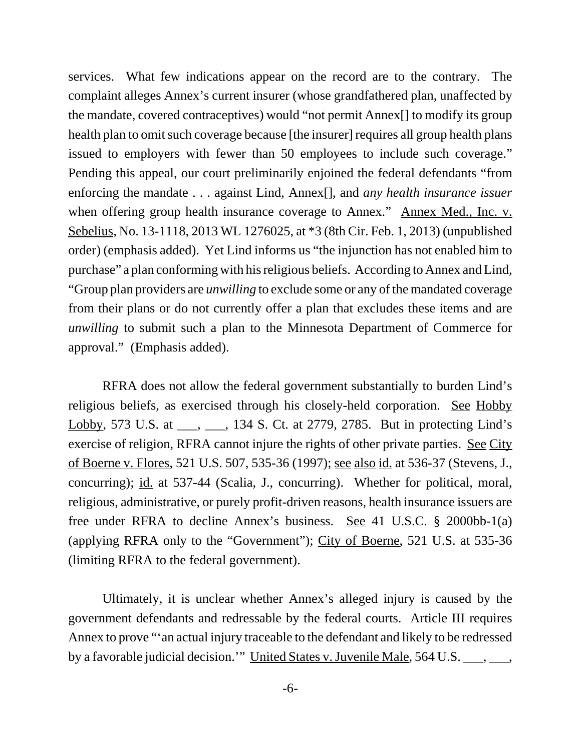services. What few indications appear on the record are to the contrary. The complaint alleges Annex's current insurer (whose grandfathered plan, unaffected by the mandate, covered contraceptives) would "not permit Annex[] to modify its group health plan to omit such coverage because [the insurer] requires all group health plans issued to employers with fewer than 50 employees to include such coverage." Pending this appeal, our court preliminarily enjoined the federal defendants "from enforcing the mandate . . . against Lind, Annex[], and *any health insurance issuer* when offering group health insurance coverage to Annex." Annex Med., Inc. v. Sebelius, No. 13-1118, 2013 WL 1276025, at \*3 (8th Cir. Feb. 1, 2013) (unpublished order) (emphasis added). Yet Lind informs us "the injunction has not enabled him to purchase" a plan conforming with his religious beliefs. According to Annex and Lind, "Group plan providers are *unwilling* to exclude some or any of the mandated coverage from their plans or do not currently offer a plan that excludes these items and are *unwilling* to submit such a plan to the Minnesota Department of Commerce for approval." (Emphasis added).

RFRA does not allow the federal government substantially to burden Lind's religious beliefs, as exercised through his closely-held corporation. See Hobby Lobby, 573 U.S. at \_\_\_, \_\_\_, 134 S. Ct. at 2779, 2785. But in protecting Lind's exercise of religion, RFRA cannot injure the rights of other private parties. See City of Boerne v. Flores, 521 U.S. 507, 535-36 (1997); see also id. at 536-37 (Stevens, J., concurring); id. at 537-44 (Scalia, J., concurring). Whether for political, moral, religious, administrative, or purely profit-driven reasons, health insurance issuers are free under RFRA to decline Annex's business. See 41 U.S.C. § 2000bb-1(a) (applying RFRA only to the "Government"); City of Boerne, 521 U.S. at 535-36 (limiting RFRA to the federal government).

Ultimately, it is unclear whether Annex's alleged injury is caused by the government defendants and redressable by the federal courts. Article III requires Annex to prove "'an actual injury traceable to the defendant and likely to be redressed by a favorable judicial decision.'" United States v. Juvenile Male, 564 U.S. \_\_\_, \_\_\_,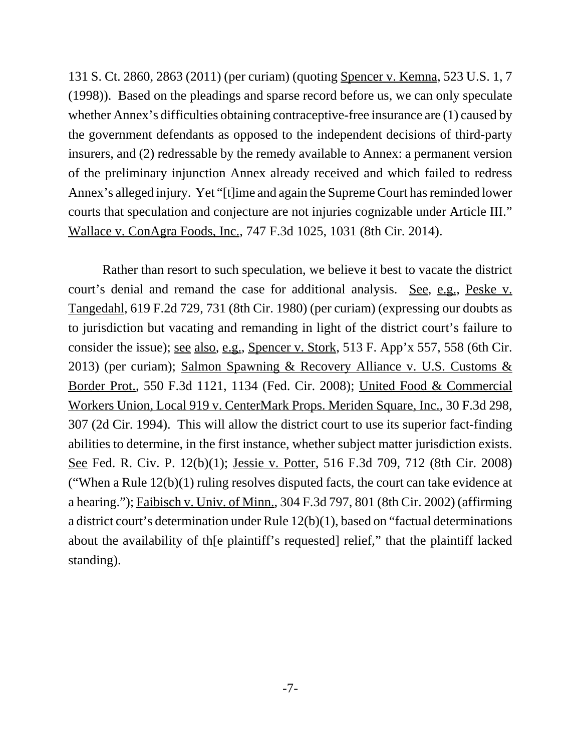131 S. Ct. 2860, 2863 (2011) (per curiam) (quoting Spencer v. Kemna, 523 U.S. 1, 7 (1998)). Based on the pleadings and sparse record before us, we can only speculate whether Annex's difficulties obtaining contraceptive-free insurance are (1) caused by the government defendants as opposed to the independent decisions of third-party insurers, and (2) redressable by the remedy available to Annex: a permanent version of the preliminary injunction Annex already received and which failed to redress Annex's alleged injury. Yet "[t]ime and again the Supreme Court has reminded lower courts that speculation and conjecture are not injuries cognizable under Article III." Wallace v. ConAgra Foods, Inc., 747 F.3d 1025, 1031 (8th Cir. 2014).

Rather than resort to such speculation, we believe it best to vacate the district court's denial and remand the case for additional analysis. See, e.g., Peske v. Tangedahl, 619 F.2d 729, 731 (8th Cir. 1980) (per curiam) (expressing our doubts as to jurisdiction but vacating and remanding in light of the district court's failure to consider the issue); <u>see also, e.g., Spencer v. Stork</u>, 513 F. App'x 557, 558 (6th Cir. 2013) (per curiam); Salmon Spawning & Recovery Alliance v. U.S. Customs & Border Prot., 550 F.3d 1121, 1134 (Fed. Cir. 2008); United Food & Commercial Workers Union, Local 919 v. CenterMark Props. Meriden Square, Inc., 30 F.3d 298, 307 (2d Cir. 1994). This will allow the district court to use its superior fact-finding abilities to determine, in the first instance, whether subject matter jurisdiction exists. See Fed. R. Civ. P. 12(b)(1); Jessie v. Potter, 516 F.3d 709, 712 (8th Cir. 2008) ("When a Rule 12(b)(1) ruling resolves disputed facts, the court can take evidence at a hearing."); Faibisch v. Univ. of Minn., 304 F.3d 797, 801 (8th Cir. 2002) (affirming a district court's determination under Rule 12(b)(1), based on "factual determinations about the availability of th[e plaintiff's requested] relief," that the plaintiff lacked standing).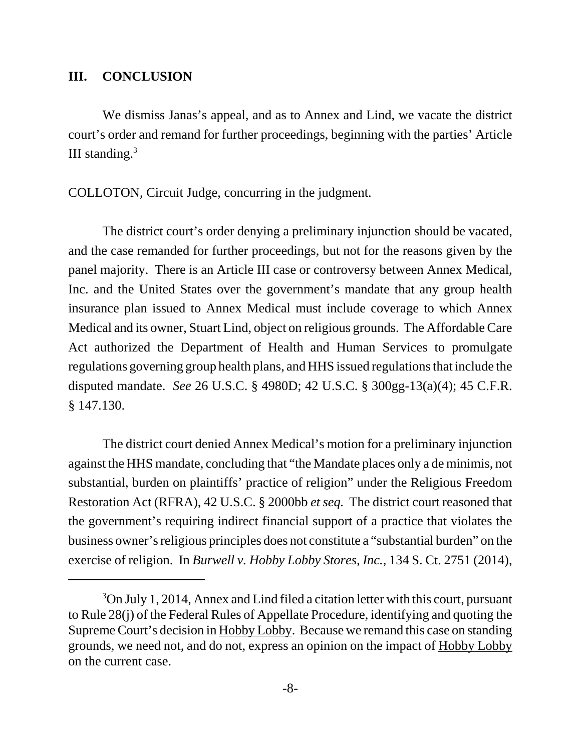## **III. CONCLUSION**

We dismiss Janas's appeal, and as to Annex and Lind, we vacate the district court's order and remand for further proceedings, beginning with the parties' Article III standing. $3$ 

COLLOTON, Circuit Judge, concurring in the judgment.

The district court's order denying a preliminary injunction should be vacated, and the case remanded for further proceedings, but not for the reasons given by the panel majority. There is an Article III case or controversy between Annex Medical, Inc. and the United States over the government's mandate that any group health insurance plan issued to Annex Medical must include coverage to which Annex Medical and its owner, Stuart Lind, object on religious grounds. The Affordable Care Act authorized the Department of Health and Human Services to promulgate regulations governing group health plans, and HHS issued regulations that include the disputed mandate. *See* 26 U.S.C. § 4980D; 42 U.S.C. § 300gg-13(a)(4); 45 C.F.R. § 147.130.

The district court denied Annex Medical's motion for a preliminary injunction against the HHS mandate, concluding that "the Mandate places only a de minimis, not substantial, burden on plaintiffs' practice of religion" under the Religious Freedom Restoration Act (RFRA), 42 U.S.C. § 2000bb *et seq.* The district court reasoned that the government's requiring indirect financial support of a practice that violates the business owner's religious principles does not constitute a "substantial burden" on the exercise of religion. In *Burwell v. Hobby Lobby Stores, Inc.*, 134 S. Ct. 2751 (2014),

<sup>&</sup>lt;sup>3</sup>On July 1, 2014, Annex and Lind filed a citation letter with this court, pursuant to Rule 28(j) of the Federal Rules of Appellate Procedure, identifying and quoting the Supreme Court's decision in Hobby Lobby. Because we remand this case on standing grounds, we need not, and do not, express an opinion on the impact of Hobby Lobby on the current case.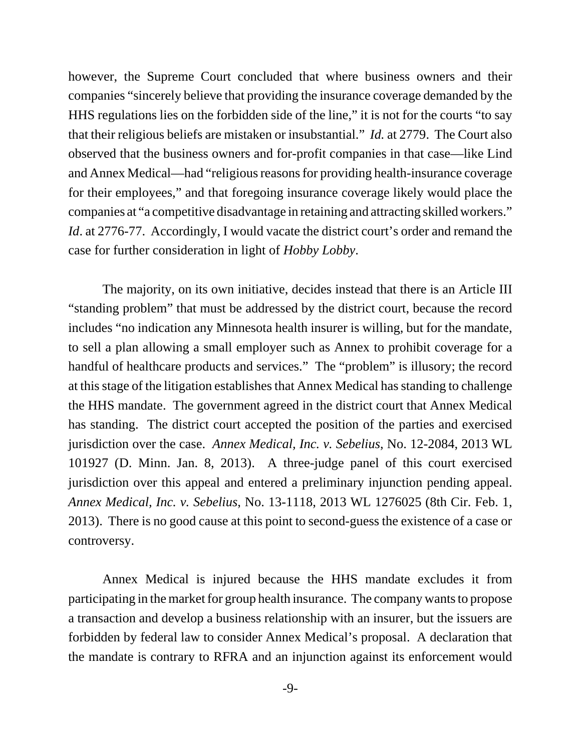however, the Supreme Court concluded that where business owners and their companies "sincerely believe that providing the insurance coverage demanded by the HHS regulations lies on the forbidden side of the line," it is not for the courts "to say that their religious beliefs are mistaken or insubstantial." *Id.* at 2779. The Court also observed that the business owners and for-profit companies in that case—like Lind and Annex Medical—had "religious reasons for providing health-insurance coverage for their employees," and that foregoing insurance coverage likely would place the companies at "a competitive disadvantage in retaining and attracting skilled workers." *Id.* at 2776-77. Accordingly, I would vacate the district court's order and remand the case for further consideration in light of *Hobby Lobby*.

The majority, on its own initiative, decides instead that there is an Article III "standing problem" that must be addressed by the district court, because the record includes "no indication any Minnesota health insurer is willing, but for the mandate, to sell a plan allowing a small employer such as Annex to prohibit coverage for a handful of healthcare products and services." The "problem" is illusory; the record at this stage of the litigation establishes that Annex Medical has standing to challenge the HHS mandate. The government agreed in the district court that Annex Medical has standing. The district court accepted the position of the parties and exercised jurisdiction over the case. *Annex Medical, Inc. v. Sebelius*, No. 12-2084, 2013 WL 101927 (D. Minn. Jan. 8, 2013). A three-judge panel of this court exercised jurisdiction over this appeal and entered a preliminary injunction pending appeal. *Annex Medical, Inc. v. Sebelius*, No. 13-1118, 2013 WL 1276025 (8th Cir. Feb. 1, 2013). There is no good cause at this point to second-guess the existence of a case or controversy.

Annex Medical is injured because the HHS mandate excludes it from participating in the market for group health insurance. The company wants to propose a transaction and develop a business relationship with an insurer, but the issuers are forbidden by federal law to consider Annex Medical's proposal. A declaration that the mandate is contrary to RFRA and an injunction against its enforcement would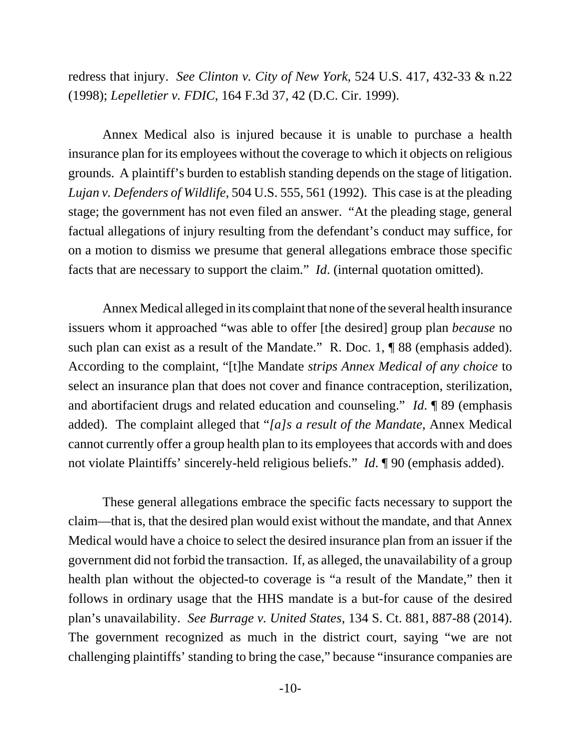redress that injury. *See Clinton v. City of New York*, 524 U.S. 417, 432-33 & n.22 (1998); *Lepelletier v. FDIC*, 164 F.3d 37, 42 (D.C. Cir. 1999).

Annex Medical also is injured because it is unable to purchase a health insurance plan for its employees without the coverage to which it objects on religious grounds. A plaintiff's burden to establish standing depends on the stage of litigation. *Lujan v. Defenders of Wildlife*, 504 U.S. 555, 561 (1992). This case is at the pleading stage; the government has not even filed an answer. "At the pleading stage, general factual allegations of injury resulting from the defendant's conduct may suffice, for on a motion to dismiss we presume that general allegations embrace those specific facts that are necessary to support the claim." *Id*. (internal quotation omitted).

Annex Medical alleged in its complaint that none of the several health insurance issuers whom it approached "was able to offer [the desired] group plan *because* no such plan can exist as a result of the Mandate." R. Doc. 1, ¶ 88 (emphasis added). According to the complaint, "[t]he Mandate *strips Annex Medical of any choice* to select an insurance plan that does not cover and finance contraception, sterilization, and abortifacient drugs and related education and counseling." *Id*. ¶ 89 (emphasis added). The complaint alleged that "*[a]s a result of the Mandate*, Annex Medical cannot currently offer a group health plan to its employees that accords with and does not violate Plaintiffs' sincerely-held religious beliefs." *Id*. ¶ 90 (emphasis added).

These general allegations embrace the specific facts necessary to support the claim—that is, that the desired plan would exist without the mandate, and that Annex Medical would have a choice to select the desired insurance plan from an issuer if the government did not forbid the transaction. If, as alleged, the unavailability of a group health plan without the objected-to coverage is "a result of the Mandate," then it follows in ordinary usage that the HHS mandate is a but-for cause of the desired plan's unavailability. *See Burrage v. United States*, 134 S. Ct. 881, 887-88 (2014). The government recognized as much in the district court, saying "we are not challenging plaintiffs' standing to bring the case," because "insurance companies are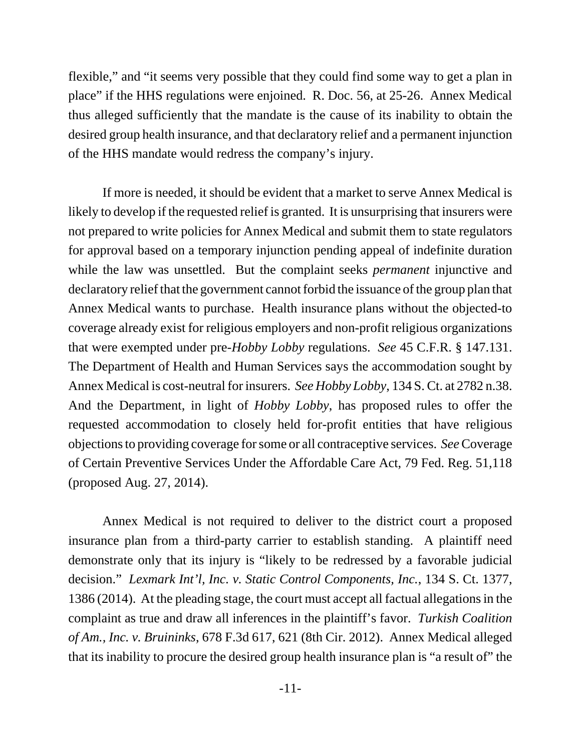flexible," and "it seems very possible that they could find some way to get a plan in place" if the HHS regulations were enjoined. R. Doc. 56, at 25-26. Annex Medical thus alleged sufficiently that the mandate is the cause of its inability to obtain the desired group health insurance, and that declaratory relief and a permanent injunction of the HHS mandate would redress the company's injury.

If more is needed, it should be evident that a market to serve Annex Medical is likely to develop if the requested relief is granted. It is unsurprising that insurers were not prepared to write policies for Annex Medical and submit them to state regulators for approval based on a temporary injunction pending appeal of indefinite duration while the law was unsettled. But the complaint seeks *permanent* injunctive and declaratory relief that the government cannot forbid the issuance of the group plan that Annex Medical wants to purchase. Health insurance plans without the objected-to coverage already exist for religious employers and non-profit religious organizations that were exempted under pre-*Hobby Lobby* regulations. *See* 45 C.F.R. § 147.131. The Department of Health and Human Services says the accommodation sought by Annex Medical is cost-neutral for insurers. *See Hobby Lobby*, 134 S. Ct. at 2782 n.38. And the Department, in light of *Hobby Lobby*, has proposed rules to offer the requested accommodation to closely held for-profit entities that have religious objections to providing coverage for some or all contraceptive services. *See* Coverage of Certain Preventive Services Under the Affordable Care Act, 79 Fed. Reg. 51,118 (proposed Aug. 27, 2014).

Annex Medical is not required to deliver to the district court a proposed insurance plan from a third-party carrier to establish standing. A plaintiff need demonstrate only that its injury is "likely to be redressed by a favorable judicial decision." *Lexmark Int'l, Inc. v. Static Control Components, Inc.*, 134 S. Ct. 1377, 1386 (2014). At the pleading stage, the court must accept all factual allegations in the complaint as true and draw all inferences in the plaintiff's favor. *Turkish Coalition of Am., Inc. v. Bruininks*, 678 F.3d 617, 621 (8th Cir. 2012). Annex Medical alleged that its inability to procure the desired group health insurance plan is "a result of" the